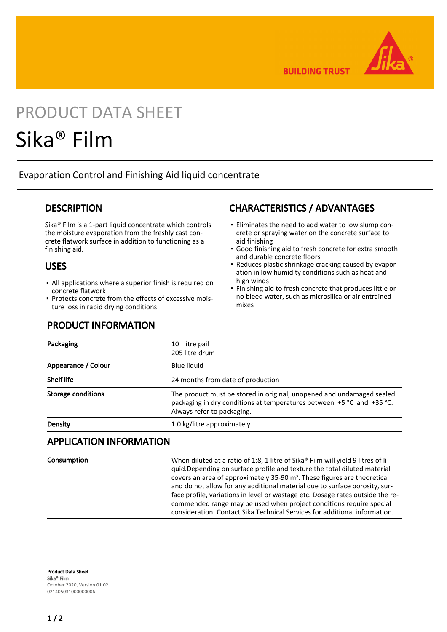

**BUILDING TRUST** 

# PRODUCT DATA SHEET Sika® Film

Evaporation Control and Finishing Aid liquid concentrate

#### **DESCRIPTION**

Sika® Film is a 1-part liquid concentrate which controls the moisture evaporation from the freshly cast concrete flatwork surface in addition to functioning as a finishing aid.

#### USES

- All applications where a superior finish is required on concrete flatwork
- Protects concrete from the effects of excessive moisture loss in rapid drying conditions

### PRODUCT INFORMATION

## CHARACTERISTICS / ADVANTAGES

- Eliminates the need to add water to low slump con-▪ crete or spraying water on the concrete surface to aid finishing
- Good finishing aid to fresh concrete for extra smooth and durable concrete floors
- Reduces plastic shrinkage cracking caused by evapor-▪ ation in low humidity conditions such as heat and high winds
- Finishing aid to fresh concrete that produces little or no bleed water, such as microsilica or air entrained mixes ▪

| Packaging                 | 10 litre pail<br>205 litre drum                                                                                                                                              |
|---------------------------|------------------------------------------------------------------------------------------------------------------------------------------------------------------------------|
| Appearance / Colour       | <b>Blue liquid</b>                                                                                                                                                           |
| <b>Shelf life</b>         | 24 months from date of production                                                                                                                                            |
| <b>Storage conditions</b> | The product must be stored in original, unopened and undamaged sealed<br>packaging in dry conditions at temperatures between +5 °C and +35 °C.<br>Always refer to packaging. |
| Density                   | 1.0 kg/litre approximately                                                                                                                                                   |

#### APPLICATION INFORMATION

Consumption When diluted at a ratio of 1:8, 1 litre of Sika® Film will yield 9 litres of liquid.Depending on surface profile and texture the total diluted material covers an area of approximately 35-90 m2. These figures are theoretical and do not allow for any additional material due to surface porosity, surface profile, variations in level or wastage etc. Dosage rates outside the recommended range may be used when project conditions require special consideration. Contact Sika Technical Services for additional information.

Product Data Sheet Sika® Film October 2020, Version 01.02 021405031000000006